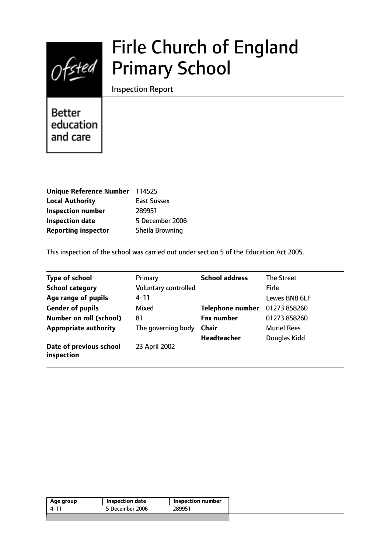

# Firle Church of England Primary School

Inspection Report

**Better** education and care

| Unique Reference Number 114525 |                    |
|--------------------------------|--------------------|
| <b>Local Authority</b>         | <b>East Sussex</b> |
| <b>Inspection number</b>       | 289951             |
| <b>Inspection date</b>         | 5 December 2006    |
| <b>Reporting inspector</b>     | Sheila Browning    |

This inspection of the school was carried out under section 5 of the Education Act 2005.

| <b>Type of school</b>                 | Primary              | <b>School address</b>   | The Street         |
|---------------------------------------|----------------------|-------------------------|--------------------|
| <b>School category</b>                | Voluntary controlled |                         | <b>Firle</b>       |
| Age range of pupils                   | 4–11                 |                         | Lewes BN8 6LF      |
| <b>Gender of pupils</b>               | Mixed                | <b>Telephone number</b> | 01273 858260       |
| Number on roll (school)               | 81                   | <b>Fax number</b>       | 01273 858260       |
| <b>Appropriate authority</b>          | The governing body   | <b>Chair</b>            | <b>Muriel Rees</b> |
|                                       |                      | <b>Headteacher</b>      | Douglas Kidd       |
| Date of previous school<br>inspection | 23 April 2002        |                         |                    |

| 5 December 2006<br>289951<br>4–11 | Age group | Inspection date | <b>Inspection number</b> |
|-----------------------------------|-----------|-----------------|--------------------------|
|                                   |           |                 |                          |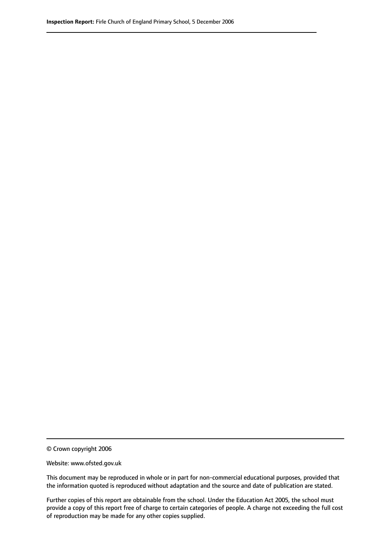© Crown copyright 2006

Website: www.ofsted.gov.uk

This document may be reproduced in whole or in part for non-commercial educational purposes, provided that the information quoted is reproduced without adaptation and the source and date of publication are stated.

Further copies of this report are obtainable from the school. Under the Education Act 2005, the school must provide a copy of this report free of charge to certain categories of people. A charge not exceeding the full cost of reproduction may be made for any other copies supplied.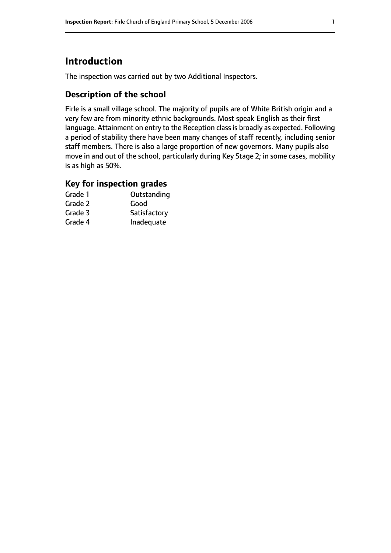# **Introduction**

The inspection was carried out by two Additional Inspectors.

# **Description of the school**

Firle is a small village school. The majority of pupils are of White British origin and a very few are from minority ethnic backgrounds. Most speak English as their first language. Attainment on entry to the Reception class is broadly as expected. Following a period of stability there have been many changes of staff recently, including senior staff members. There is also a large proportion of new governors. Many pupils also move in and out of the school, particularly during Key Stage 2; in some cases, mobility is as high as 50%.

### **Key for inspection grades**

| Grade 1 | Outstanding  |
|---------|--------------|
| Grade 2 | Good         |
| Grade 3 | Satisfactory |
| Grade 4 | Inadequate   |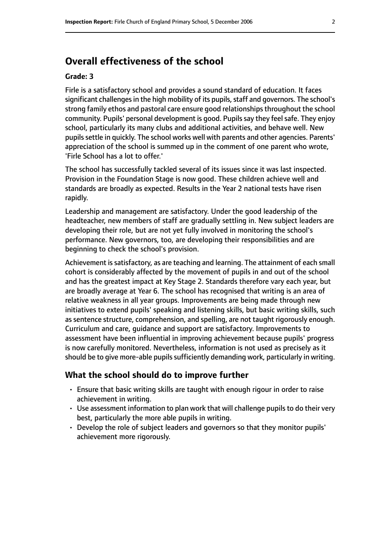# **Overall effectiveness of the school**

#### **Grade: 3**

Firle is a satisfactory school and provides a sound standard of education. It faces significant challenges in the high mobility of its pupils, staff and governors. The school's strong family ethos and pastoral care ensure good relationships throughout the school community. Pupils' personal development is good. Pupils say they feel safe. They enjoy school, particularly its many clubs and additional activities, and behave well. New pupils settle in quickly. The school works well with parents and other agencies. Parents' appreciation of the school is summed up in the comment of one parent who wrote, 'Firle School has a lot to offer.'

The school has successfully tackled several of its issues since it was last inspected. Provision in the Foundation Stage is now good. These children achieve well and standards are broadly as expected. Results in the Year 2 national tests have risen rapidly.

Leadership and management are satisfactory. Under the good leadership of the headteacher, new members of staff are gradually settling in. New subject leaders are developing their role, but are not yet fully involved in monitoring the school's performance. New governors, too, are developing their responsibilities and are beginning to check the school's provision.

Achievement is satisfactory, as are teaching and learning. The attainment of each small cohort is considerably affected by the movement of pupils in and out of the school and has the greatest impact at Key Stage 2. Standards therefore vary each year, but are broadly average at Year 6. The school has recognised that writing is an area of relative weakness in all year groups. Improvements are being made through new initiatives to extend pupils' speaking and listening skills, but basic writing skills, such as sentence structure, comprehension, and spelling, are not taught rigorously enough. Curriculum and care, guidance and support are satisfactory. Improvements to assessment have been influential in improving achievement because pupils' progress is now carefully monitored. Nevertheless, information is not used as precisely as it should be to give more-able pupils sufficiently demanding work, particularly in writing.

#### **What the school should do to improve further**

- Ensure that basic writing skills are taught with enough rigour in order to raise achievement in writing.
- Use assessment information to plan work that will challenge pupils to do their very best, particularly the more able pupils in writing.
- Develop the role of subject leaders and governors so that they monitor pupils' achievement more rigorously.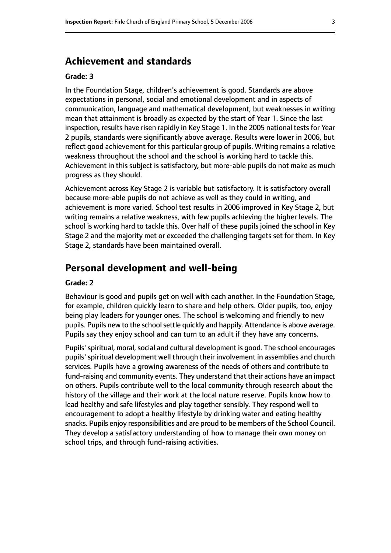# **Achievement and standards**

#### **Grade: 3**

In the Foundation Stage, children's achievement is good. Standards are above expectations in personal, social and emotional development and in aspects of communication, language and mathematical development, but weaknesses in writing mean that attainment is broadly as expected by the start of Year 1. Since the last inspection, results have risen rapidly in Key Stage 1. In the 2005 national tests for Year 2 pupils, standards were significantly above average. Results were lower in 2006, but reflect good achievement for this particular group of pupils. Writing remains a relative weakness throughout the school and the school is working hard to tackle this. Achievement in this subject is satisfactory, but more-able pupils do not make as much progress as they should.

Achievement across Key Stage 2 is variable but satisfactory. It is satisfactory overall because more-able pupils do not achieve as well as they could in writing, and achievement is more varied. School test results in 2006 improved in Key Stage 2, but writing remains a relative weakness, with few pupils achieving the higher levels. The school is working hard to tackle this. Over half of these pupils joined the school in Key Stage 2 and the majority met or exceeded the challenging targets set for them. In Key Stage 2, standards have been maintained overall.

## **Personal development and well-being**

#### **Grade: 2**

Behaviour is good and pupils get on well with each another. In the Foundation Stage, for example, children quickly learn to share and help others. Older pupils, too, enjoy being play leaders for younger ones. The school is welcoming and friendly to new pupils. Pupils new to the school settle quickly and happily. Attendance is above average. Pupils say they enjoy school and can turn to an adult if they have any concerns.

Pupils' spiritual, moral, social and cultural development is good. The school encourages pupils' spiritual development well through their involvement in assemblies and church services. Pupils have a growing awareness of the needs of others and contribute to fund-raising and community events. They understand that their actions have an impact on others. Pupils contribute well to the local community through research about the history of the village and their work at the local nature reserve. Pupils know how to lead healthy and safe lifestyles and play together sensibly. They respond well to encouragement to adopt a healthy lifestyle by drinking water and eating healthy snacks. Pupils enjoy responsibilities and are proud to be members of the School Council. They develop a satisfactory understanding of how to manage their own money on school trips, and through fund-raising activities.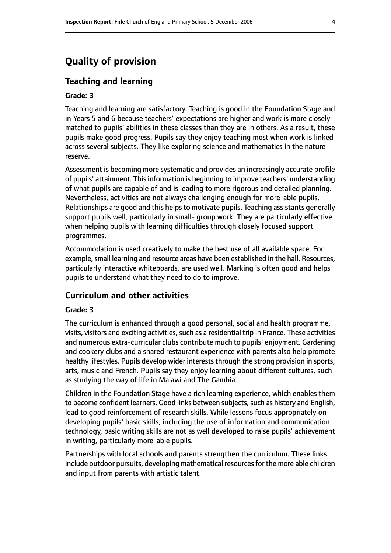# **Quality of provision**

#### **Teaching and learning**

#### **Grade: 3**

Teaching and learning are satisfactory. Teaching is good in the Foundation Stage and in Years 5 and 6 because teachers' expectations are higher and work is more closely matched to pupils' abilities in these classes than they are in others. As a result, these pupils make good progress. Pupils say they enjoy teaching most when work is linked across several subjects. They like exploring science and mathematics in the nature reserve.

Assessment is becoming more systematic and provides an increasingly accurate profile of pupils' attainment. This information is beginning to improve teachers' understanding of what pupils are capable of and is leading to more rigorous and detailed planning. Nevertheless, activities are not always challenging enough for more-able pupils. Relationships are good and this helps to motivate pupils. Teaching assistants generally support pupils well, particularly in small- group work. They are particularly effective when helping pupils with learning difficulties through closely focused support programmes.

Accommodation is used creatively to make the best use of all available space. For example, small learning and resource areas have been established in the hall. Resources, particularly interactive whiteboards, are used well. Marking is often good and helps pupils to understand what they need to do to improve.

#### **Curriculum and other activities**

#### **Grade: 3**

The curriculum is enhanced through a good personal, social and health programme, visits, visitors and exciting activities, such as a residential trip in France. These activities and numerous extra-curricular clubs contribute much to pupils' enjoyment. Gardening and cookery clubs and a shared restaurant experience with parents also help promote healthy lifestyles. Pupils develop wider interests through the strong provision in sports, arts, music and French. Pupils say they enjoy learning about different cultures, such as studying the way of life in Malawi and The Gambia.

Children in the Foundation Stage have a rich learning experience, which enables them to become confident learners. Good links between subjects, such as history and English, lead to good reinforcement of research skills. While lessons focus appropriately on developing pupils' basic skills, including the use of information and communication technology, basic writing skills are not as well developed to raise pupils' achievement in writing, particularly more-able pupils.

Partnerships with local schools and parents strengthen the curriculum. These links include outdoor pursuits, developing mathematical resources for the more able children and input from parents with artistic talent.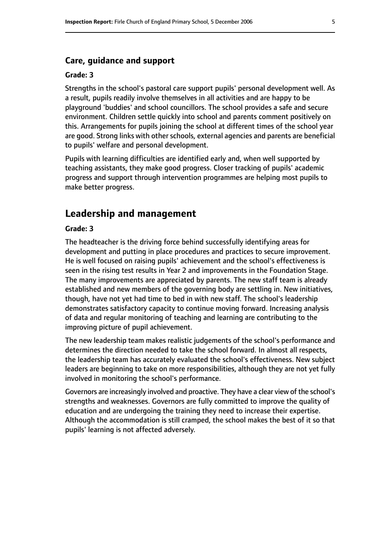#### **Care, guidance and support**

#### **Grade: 3**

Strengths in the school's pastoral care support pupils' personal development well. As a result, pupils readily involve themselves in all activities and are happy to be playground 'buddies' and school councillors. The school provides a safe and secure environment. Children settle quickly into school and parents comment positively on this. Arrangements for pupils joining the school at different times of the school year are good. Strong links with other schools, external agencies and parents are beneficial to pupils' welfare and personal development.

Pupils with learning difficulties are identified early and, when well supported by teaching assistants, they make good progress. Closer tracking of pupils' academic progress and support through intervention programmes are helping most pupils to make better progress.

# **Leadership and management**

#### **Grade: 3**

The headteacher is the driving force behind successfully identifying areas for development and putting in place procedures and practices to secure improvement. He is well focused on raising pupils' achievement and the school's effectiveness is seen in the rising test results in Year 2 and improvements in the Foundation Stage. The many improvements are appreciated by parents. The new staff team is already established and new members of the governing body are settling in. New initiatives, though, have not yet had time to bed in with new staff. The school's leadership demonstrates satisfactory capacity to continue moving forward. Increasing analysis of data and regular monitoring of teaching and learning are contributing to the improving picture of pupil achievement.

The new leadership team makes realistic judgements of the school's performance and determines the direction needed to take the school forward. In almost all respects, the leadership team has accurately evaluated the school's effectiveness. New subject leaders are beginning to take on more responsibilities, although they are not yet fully involved in monitoring the school's performance.

Governors are increasingly involved and proactive. They have a clear view of the school's strengths and weaknesses. Governors are fully committed to improve the quality of education and are undergoing the training they need to increase their expertise. Although the accommodation is still cramped, the school makes the best of it so that pupils' learning is not affected adversely.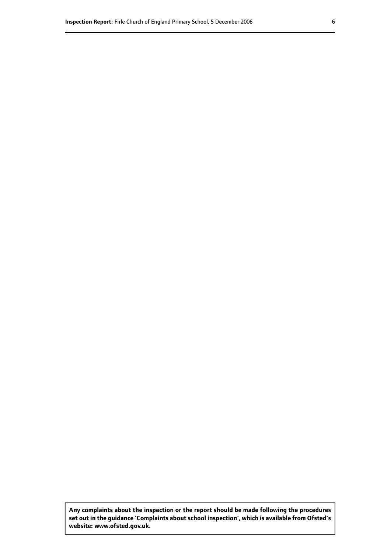**Any complaints about the inspection or the report should be made following the procedures set out inthe guidance 'Complaints about school inspection', whichis available from Ofsted's website: www.ofsted.gov.uk.**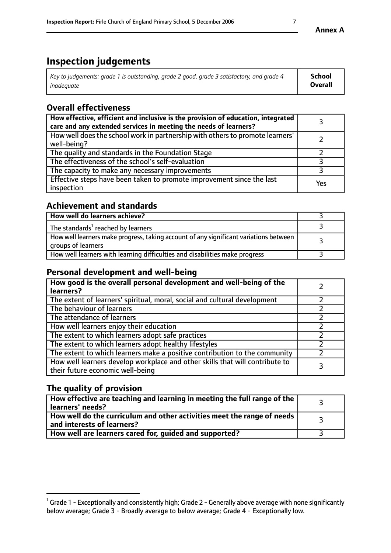# **Inspection judgements**

| Key to judgements: grade 1 is outstanding, grade 2 good, grade 3 satisfactory, and grade 4 | School  |
|--------------------------------------------------------------------------------------------|---------|
| inadeauate                                                                                 | Overall |

# **Overall effectiveness**

| How effective, efficient and inclusive is the provision of education, integrated<br>care and any extended services in meeting the needs of learners? |     |
|------------------------------------------------------------------------------------------------------------------------------------------------------|-----|
| How well does the school work in partnership with others to promote learners'<br>well-being?                                                         |     |
| The quality and standards in the Foundation Stage                                                                                                    |     |
| The effectiveness of the school's self-evaluation                                                                                                    |     |
| The capacity to make any necessary improvements                                                                                                      |     |
| Effective steps have been taken to promote improvement since the last<br>inspection                                                                  | Yes |

# **Achievement and standards**

| How well do learners achieve?                                                                               |  |
|-------------------------------------------------------------------------------------------------------------|--|
| The standards <sup>1</sup> reached by learners                                                              |  |
| How well learners make progress, taking account of any significant variations between<br>groups of learners |  |
| How well learners with learning difficulties and disabilities make progress                                 |  |

# **Personal development and well-being**

| How good is the overall personal development and well-being of the<br>learners?                                  |  |
|------------------------------------------------------------------------------------------------------------------|--|
| The extent of learners' spiritual, moral, social and cultural development                                        |  |
| The behaviour of learners                                                                                        |  |
| The attendance of learners                                                                                       |  |
| How well learners enjoy their education                                                                          |  |
| The extent to which learners adopt safe practices                                                                |  |
| The extent to which learners adopt healthy lifestyles                                                            |  |
| The extent to which learners make a positive contribution to the community                                       |  |
| How well learners develop workplace and other skills that will contribute to<br>their future economic well-being |  |

# **The quality of provision**

| $\Box$ How effective are teaching and learning in meeting the full range of the $\Box$<br>  learners' needs?        |  |
|---------------------------------------------------------------------------------------------------------------------|--|
| $\mid$ How well do the curriculum and other activities meet the range of needs<br>$\mid$ and interests of learners? |  |
| How well are learners cared for, guided and supported?                                                              |  |

 $^1$  Grade 1 - Exceptionally and consistently high; Grade 2 - Generally above average with none significantly below average; Grade 3 - Broadly average to below average; Grade 4 - Exceptionally low.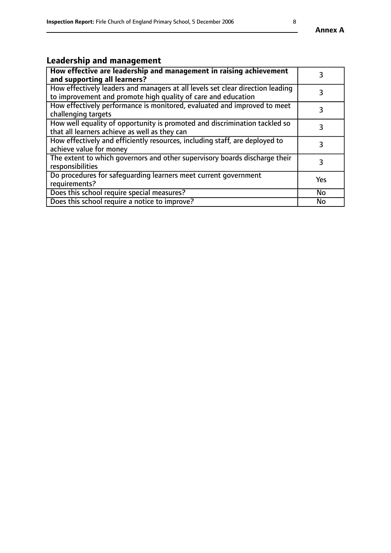# **Leadership and management**

| How effective are leadership and management in raising achievement<br>and supporting all learners?                                              |           |
|-------------------------------------------------------------------------------------------------------------------------------------------------|-----------|
| How effectively leaders and managers at all levels set clear direction leading<br>to improvement and promote high quality of care and education |           |
| How effectively performance is monitored, evaluated and improved to meet<br>challenging targets                                                 | 3         |
| How well equality of opportunity is promoted and discrimination tackled so<br>that all learners achieve as well as they can                     |           |
| How effectively and efficiently resources, including staff, are deployed to<br>achieve value for money                                          | 3         |
| The extent to which governors and other supervisory boards discharge their<br>responsibilities                                                  | 3         |
| Do procedures for safequarding learners meet current government<br>requirements?                                                                | Yes       |
| Does this school require special measures?                                                                                                      | No        |
| Does this school require a notice to improve?                                                                                                   | <b>No</b> |